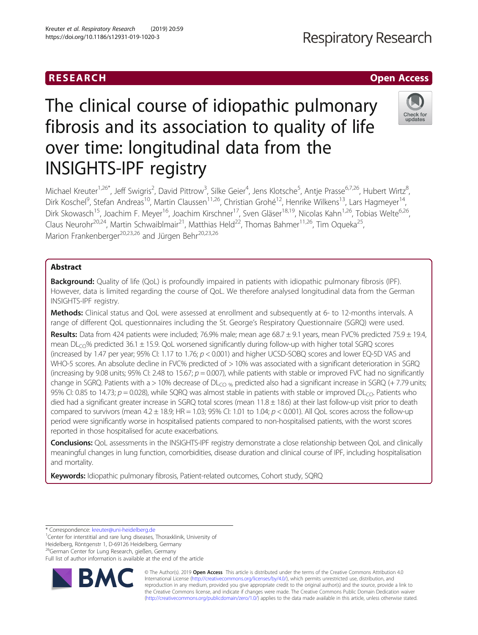# RESEARCH **RESEARCH CHOOSE ACCESS**

# The clinical course of idiopathic pulmonary fibrosis and its association to quality of life over time: longitudinal data from the INSIGHTS-IPF registry

Michael Kreuter<sup>1,26\*</sup>, Jeff Swigris<sup>2</sup>, David Pittrow<sup>3</sup>, Silke Geier<sup>4</sup>, Jens Klotsche<sup>5</sup>, Antje Prasse<sup>6,7,26</sup>, Hubert Wirtz<sup>8</sup> , Dirk Koschel<sup>9</sup>, Stefan Andreas<sup>10</sup>, Martin Claussen<sup>11,26</sup>, Christian Grohé<sup>12</sup>, Henrike Wilkens<sup>13</sup>, Lars Hagmeyer<sup>14</sup>, Dirk Skowasch<sup>15</sup>, Joachim F. Meyer<sup>16</sup>, Joachim Kirschner<sup>17</sup>, Sven Gläser<sup>18,19</sup>, Nicolas Kahn<sup>1,26</sup>, Tobias Welte<sup>6,26</sup>, Claus Neurohr<sup>20,24</sup>, Martin Schwaiblmair<sup>21</sup>, Matthias Held<sup>22</sup>, Thomas Bahmer<sup>11,26</sup>, Tim Oqueka<sup>25</sup>, Marion Frankenberger<sup>20,23,26</sup> and Jürgen Behr<sup>20,23,26</sup>

# Abstract

**Background:** Quality of life (QoL) is profoundly impaired in patients with idiopathic pulmonary fibrosis (IPF). However, data is limited regarding the course of QoL. We therefore analysed longitudinal data from the German INSIGHTS-IPF registry.

Methods: Clinical status and QoL were assessed at enrollment and subsequently at 6- to 12-months intervals. A range of different QoL questionnaires including the St. George's Respiratory Questionnaire (SGRQ) were used.

Results: Data from 424 patients were included; 76.9% male; mean age  $68.7 \pm 9.1$  years, mean FVC% predicted 75.9  $\pm$  19.4, mean  $DL_{CO}$ % predicted 36.1  $\pm$  15.9. QoL worsened significantly during follow-up with higher total SGRQ scores (increased by 1.47 per year; 95% CI: 1.17 to 1.76;  $p < 0.001$ ) and higher UCSD-SOBQ scores and lower EQ-5D VAS and WHO-5 scores. An absolute decline in FVC% predicted of > 10% was associated with a significant deterioration in SGRQ (increasing by 9.08 units; 95% CI: 2.48 to 15.67;  $p = 0.007$ ), while patients with stable or improved FVC had no significantly change in SGRQ. Patients with a > 10% decrease of  $DL<sub>CO 96</sub>$  predicted also had a significant increase in SGRQ (+ 7.79 units; 95% CI: 0.85 to 14.73;  $p = 0.028$ ), while SQRQ was almost stable in patients with stable or improved DL<sub>CO</sub>. Patients who died had a significant greater increase in SGRQ total scores (mean  $11.8 \pm 18.6$ ) at their last follow-up visit prior to death compared to survivors (mean  $4.2 \pm 18.9$ ; HR = 1.03; 95% CI: 1.01 to 1.04;  $p < 0.001$ ). All QoL scores across the follow-up period were significantly worse in hospitalised patients compared to non-hospitalised patients, with the worst scores reported in those hospitalised for acute exacerbations.

Conclusions: QoL assessments in the INSIGHTS-IPF registry demonstrate a close relationship between QoL and clinically meaningful changes in lung function, comorbidities, disease duration and clinical course of IPF, including hospitalisation and mortality.

Keywords: Idiopathic pulmonary fibrosis, Patient-related outcomes, Cohort study, SQRQ

<sup>26</sup>German Center for Lung Research, gießen, Germany

Full list of author information is available at the end of the article

© The Author(s). 2019 **Open Access** This article is distributed under the terms of the Creative Commons Attribution 4.0 International License [\(http://creativecommons.org/licenses/by/4.0/](http://creativecommons.org/licenses/by/4.0/)), which permits unrestricted use, distribution, and reproduction in any medium, provided you give appropriate credit to the original author(s) and the source, provide a link to the Creative Commons license, and indicate if changes were made. The Creative Commons Public Domain Dedication waiver [\(http://creativecommons.org/publicdomain/zero/1.0/](http://creativecommons.org/publicdomain/zero/1.0/)) applies to the data made available in this article, unless otherwise stated.





<sup>&</sup>lt;sup>1</sup>Center for interstitial and rare lung diseases, Thoraxklinik, University of Heidelberg, Röntgenstr 1, D-69126 Heidelberg, Germany

<sup>\*</sup> Correspondence: [kreuter@uni-heidelberg.de](mailto:kreuter@uni-heidelberg.de) <sup>1</sup>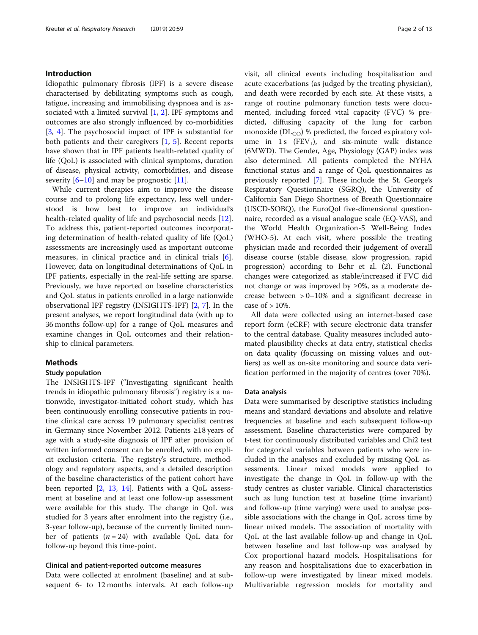# Introduction

Idiopathic pulmonary fibrosis (IPF) is a severe disease characterised by debilitating symptoms such as cough, fatigue, increasing and immobilising dyspnoea and is associated with a limited survival [[1](#page-12-0), [2\]](#page-12-0). IPF symptoms and outcomes are also strongly influenced by co-morbidities [[3,](#page-12-0) [4\]](#page-12-0). The psychosocial impact of IPF is substantial for both patients and their caregivers [[1,](#page-12-0) [5](#page-12-0)]. Recent reports have shown that in IPF patients health-related quality of life (QoL) is associated with clinical symptoms, duration of disease, physical activity, comorbidities, and disease severity  $[6–10]$  $[6–10]$  $[6–10]$  $[6–10]$  $[6–10]$  and may be prognostic  $[11]$ .

While current therapies aim to improve the disease course and to prolong life expectancy, less well understood is how best to improve an individual's health-related quality of life and psychosocial needs [\[12](#page-12-0)]. To address this, patient-reported outcomes incorporating determination of health-related quality of life (QoL) assessments are increasingly used as important outcome measures, in clinical practice and in clinical trials [\[6](#page-12-0)]. However, data on longitudinal determinations of QoL in IPF patients, especially in the real-life setting are sparse. Previously, we have reported on baseline characteristics and QoL status in patients enrolled in a large nationwide observational IPF registry (INSIGHTS-IPF) [[2,](#page-12-0) [7\]](#page-12-0). In the present analyses, we report longitudinal data (with up to 36 months follow-up) for a range of QoL measures and examine changes in QoL outcomes and their relationship to clinical parameters.

# Methods

# Study population

The INSIGHTS-IPF ("Investigating significant health trends in idiopathic pulmonary fibrosis") registry is a nationwide, investigator-initiated cohort study, which has been continuously enrolling consecutive patients in routine clinical care across 19 pulmonary specialist centres in Germany since November 2012. Patients ≥18 years of age with a study-site diagnosis of IPF after provision of written informed consent can be enrolled, with no explicit exclusion criteria. The registry's structure, methodology and regulatory aspects, and a detailed description of the baseline characteristics of the patient cohort have been reported [\[2](#page-12-0), [13,](#page-12-0) [14](#page-12-0)]. Patients with a QoL assessment at baseline and at least one follow-up assessment were available for this study. The change in QoL was studied for 3 years after enrolment into the registry (i.e., 3-year follow-up), because of the currently limited number of patients  $(n = 24)$  with available QoL data for follow-up beyond this time-point.

# Clinical and patient-reported outcome measures

Data were collected at enrolment (baseline) and at subsequent 6- to 12 months intervals. At each follow-up visit, all clinical events including hospitalisation and acute exacerbations (as judged by the treating physician), and death were recorded by each site. At these visits, a range of routine pulmonary function tests were documented, including forced vital capacity (FVC) % predicted, diffusing capacity of the lung for carbon monoxide ( $DL<sub>CO</sub>$ ) % predicted, the forced expiratory volume in 1 s  $(FEV_1)$ , and six-minute walk distance (6MWD). The Gender, Age, Physiology (GAP) index was also determined. All patients completed the NYHA functional status and a range of QoL questionnaires as previously reported [[7](#page-12-0)]. These include the St. George's Respiratory Questionnaire (SGRQ), the University of California San Diego Shortness of Breath Questionnaire (USCD-SOBQ), the EuroQol five-dimensional questionnaire, recorded as a visual analogue scale (EQ-VAS), and the World Health Organization-5 Well-Being Index (WHO-5). At each visit, where possible the treating physician made and recorded their judgement of overall disease course (stable disease, slow progression, rapid progression) according to Behr et al. (2). Functional changes were categorized as stable/increased if FVC did not change or was improved by  $\geq 0\%$ , as a moderate decrease between  $> 0-10\%$  and a significant decrease in case of  $> 10\%$ .

All data were collected using an internet-based case report form (eCRF) with secure electronic data transfer to the central database. Quality measures included automated plausibility checks at data entry, statistical checks on data quality (focussing on missing values and outliers) as well as on-site monitoring and source data verification performed in the majority of centres (over 70%).

### Data analysis

Data were summarised by descriptive statistics including means and standard deviations and absolute and relative frequencies at baseline and each subsequent follow-up assessment. Baseline characteristics were compared by t-test for continuously distributed variables and Chi2 test for categorical variables between patients who were included in the analyses and excluded by missing QoL assessments. Linear mixed models were applied to investigate the change in QoL in follow-up with the study centres as cluster variable. Clinical characteristics such as lung function test at baseline (time invariant) and follow-up (time varying) were used to analyse possible associations with the change in QoL across time by linear mixed models. The association of mortality with QoL at the last available follow-up and change in QoL between baseline and last follow-up was analysed by Cox proportional hazard models. Hospitalisations for any reason and hospitalisations due to exacerbation in follow-up were investigated by linear mixed models. Multivariable regression models for mortality and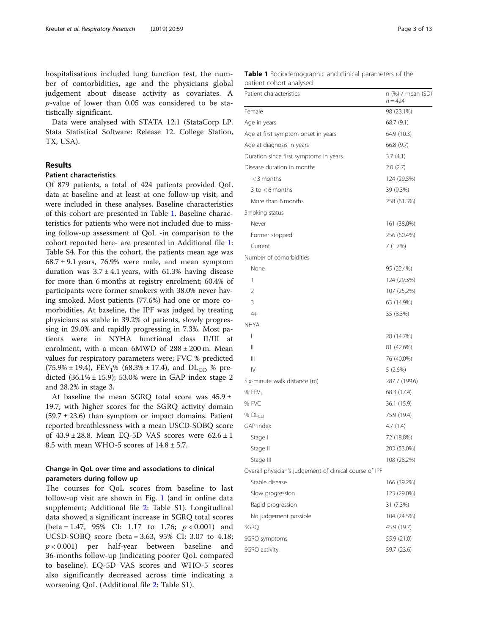hospitalisations included lung function test, the number of comorbidities, age and the physicians global judgement about disease activity as covariates. A p-value of lower than 0.05 was considered to be statistically significant.

Data were analysed with STATA 12.1 (StataCorp LP. Stata Statistical Software: Release 12. College Station, TX, USA).

# Results

# Patient characteristics

Of 879 patients, a total of 424 patients provided QoL data at baseline and at least at one follow-up visit, and were included in these analyses. Baseline characteristics of this cohort are presented in Table 1. Baseline characteristics for patients who were not included due to missing follow-up assessment of QoL -in comparison to the cohort reported here- are presented in Additional file [1](#page-11-0): Table S4. For this the cohort, the patients mean age was  $68.7 \pm 9.1$  years, 76.9% were male, and mean symptom duration was  $3.7 \pm 4.1$  years, with 61.3% having disease for more than 6 months at registry enrolment; 60.4% of participants were former smokers with 38.0% never having smoked. Most patients (77.6%) had one or more comorbidities. At baseline, the IPF was judged by treating physicians as stable in 39.2% of patients, slowly progressing in 29.0% and rapidly progressing in 7.3%. Most patients were in NYHA functional class II/III at enrolment, with a mean  $6MWD$  of  $288 \pm 200$  m. Mean values for respiratory parameters were; FVC % predicted  $(75.9\% \pm 19.4)$ , FEV<sub>1</sub>%  $(68.3\% \pm 17.4)$ , and DL<sub>CO</sub> % predicted  $(36.1\% \pm 15.9)$ ; 53.0% were in GAP index stage 2 and 28.2% in stage 3.

At baseline the mean SGRQ total score was  $45.9 \pm$ 19.7, with higher scores for the SGRQ activity domain  $(59.7 \pm 23.6)$  than symptom or impact domains. Patient reported breathlessness with a mean USCD-SOBQ score of  $43.9 \pm 28.8$ . Mean EQ-5D VAS scores were  $62.6 \pm 1$ 8.5 with mean WHO-5 scores of  $14.8 \pm 5.7$ .

# Change in QoL over time and associations to clinical parameters during follow up

The courses for QoL scores from baseline to last follow-up visit are shown in Fig. [1](#page-3-0) (and in online data supplement; Additional file [2](#page-11-0): Table S1). Longitudinal data showed a significant increase in SGRQ total scores (beta = 1.47, 95% CI: 1.17 to 1.76;  $p < 0.001$ ) and UCSD-SOBQ score (beta = 3.63, 95% CI: 3.07 to 4.18;  $p < 0.001$ ) per half-year between baseline and 36-months follow-up (indicating poorer QoL compared to baseline). EQ-5D VAS scores and WHO-5 scores also significantly decreased across time indicating a worsening QoL (Additional file [2](#page-11-0): Table S1).

| Table 1 Sociodemographic and clinical parameters of the |  |  |
|---------------------------------------------------------|--|--|
| patient cohort analysed                                 |  |  |

| Patient characteristics                                 | n (%) / mean (SD)<br>$n = 424$ |
|---------------------------------------------------------|--------------------------------|
| Female                                                  | 98 (23.1%)                     |
| Age in years                                            | 68.7 (9.1)                     |
| Age at first symptom onset in years                     | 64.9 (10.3)                    |
| Age at diagnosis in years                               | 66.8 (9.7)                     |
| Duration since first symptoms in years                  | 3.7(4.1)                       |
| Disease duration in months                              | 2.0(2.7)                       |
| $<$ 3 months                                            | 124 (29.5%)                    |
| $3$ to $< 6$ months                                     | 39 (9.3%)                      |
| More than 6 months                                      | 258 (61.3%)                    |
| Smoking status                                          |                                |
| Never                                                   | 161 (38.0%)                    |
| Former stopped                                          | 256 (60.4%)                    |
| Current                                                 | 7 (1.7%)                       |
| Number of comorbidities                                 |                                |
| None                                                    | 95 (22.4%)                     |
| 1                                                       | 124 (29.3%)                    |
| 2                                                       | 107 (25.2%)                    |
| 3                                                       | 63 (14.9%)                     |
| $4+$                                                    | 35 (8.3%)                      |
| <b>NHYA</b>                                             |                                |
| T                                                       | 28 (14.7%)                     |
| Ш                                                       | 81 (42.6%)                     |
| Ш                                                       | 76 (40.0%)                     |
| IV                                                      | 5(2.6%)                        |
| Six-minute walk distance (m)                            | 287.7 (199.6)                  |
| % $FEV1$                                                | 68.3 (17.4)                    |
| % FVC                                                   | 36.1 (15.9)                    |
| % $DLCO$                                                | 75.9 (19.4)                    |
| GAP index                                               | 4.7 (1.4)                      |
| Stage I                                                 | 72 (18.8%)                     |
| Stage II                                                | 203 (53.0%)                    |
| Stage III                                               | 108 (28.2%)                    |
| Overall physician's judgement of clinical course of IPF |                                |
| Stable disease                                          | 166 (39.2%)                    |
| Slow progression                                        | 123 (29.0%)                    |
| Rapid progression                                       | 31 (7.3%)                      |
| No judgement possible                                   | 104 (24.5%)                    |
| SGRQ                                                    | 45.9 (19.7)                    |
| SGRQ symptoms                                           | 55.9 (21.0)                    |
| SGRQ activity                                           | 59.7 (23.6)                    |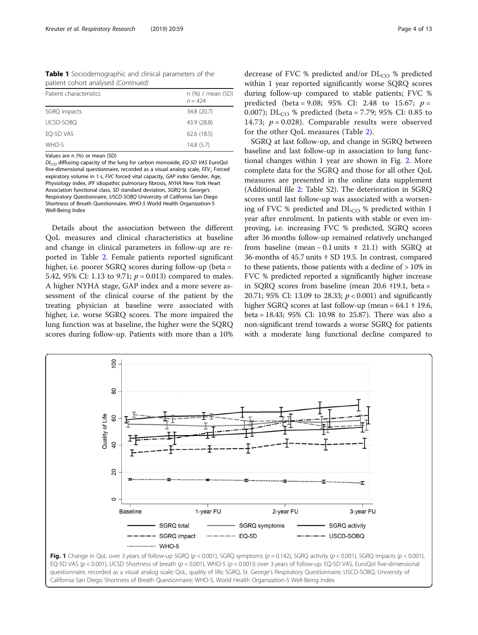<span id="page-3-0"></span>

| <b>Table 1</b> Sociodemographic and clinical parameters of the |  |
|----------------------------------------------------------------|--|
| patient cohort analysed (Continued)                            |  |

| Patient characteristics | n (%) / mean (SD)<br>$n = 424$ |
|-------------------------|--------------------------------|
| SGRQ impacts            | 34.8 (20.7)                    |
| UCSD-SOBO               | 43.9 (28.8)                    |
| EO-5D VAS               | 62.6(18.5)                     |
| WHO-5                   | 14.8(5.7)                      |

Values are n (%) or mean (SD)

 $DL_{CO}$  diffusing capacity of the lung for carbon monoxide, EQ-5D VAS EuroQol five-dimensional questionnaire, recorded as a visual analog scale,  $FEV$ , Forced expiratory volume in 1 s, FVC forced vital capacity, GAP index Gender, Age, Physiology index, IPF idiopathic pulmonary fibrosis, NYHA New York Heart Association functional class, SD standard deviation, SGRQ St. George's Respiratory Questionnaire, USCD-SOBQ University of California San Diego Shortness of Breath Questionnaire, WHO-5 World Health Organization-5 Well-Being Index

Details about the association between the different QoL measures and clinical characteristics at baseline and change in clinical parameters in follow-up are reported in Table [2](#page-4-0). Female patients reported significant higher, i.e. poorer SGRQ scores during follow-up (beta = 5.42, 95% CI: 1.13 to 9.71;  $p = 0.013$ ) compared to males. A higher NYHA stage, GAP index and a more severe assessment of the clinical course of the patient by the treating physician at baseline were associated with higher, i.e. worse SGRQ scores. The more impaired the lung function was at baseline, the higher were the SQRQ scores during follow-up. Patients with more than a 10% decrease of FVC % predicted and/or  $DL_{CO}$  % predicted within 1 year reported significantly worse SQRQ scores during follow-up compared to stable patients; FVC % predicted (beta = 9.08; 95% CI: 2.48 to 15.67;  $p =$ 0.007);  $DL_{CO}$  % predicted (beta = 7.79; 95% CI: 0.85 to 14.73;  $p = 0.028$ ). Comparable results were observed for the other QoL measures (Table [2\)](#page-4-0).

SGRQ at last follow-up, and change in SGRQ between baseline and last follow-up in association to lung functional changes within 1 year are shown in Fig. [2](#page-6-0). More complete data for the SGRQ and those for all other QoL measures are presented in the online data supplement (Additional file [2](#page-11-0): Table S2). The deterioration in SGRQ scores until last follow-up was associated with a worsening of FVC % predicted and  $DL_{CO}$  % predicted within 1 year after enrolment. In patients with stable or even improving, i.e. increasing FVC % predicted, SGRQ scores after 36 months follow-up remained relatively unchanged from baseline (mean – 0.1 units  $\pm$  21.1) with SGRO at 36-months of 45.7 units ‡ SD 19.5. In contrast, compared to these patients, those patients with a decline of > 10% in FVC % predicted reported a significantly higher increase in SQRQ scores from baseline (mean 20.6 ‡19.1, beta = 20.71; 95% CI: 13.09 to 28.33;  $p < 0.001$ ) and significantly higher SGRQ scores at last follow-up (mean = 64.1 ‡ 19.6, beta = 18.43; 95% CI: 10.98 to 25.87). There was also a non-significant trend towards a worse SGRQ for patients with a moderate lung functional decline compared to



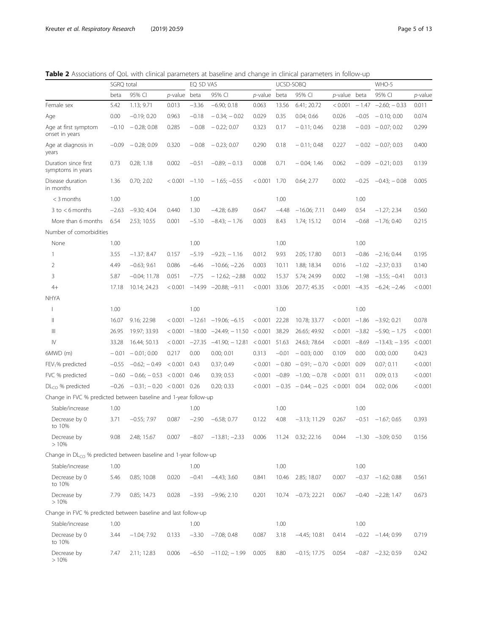<span id="page-4-0"></span>Table 2 Associations of QoL with clinical parameters at baseline and change in clinical parameters in follow-up

|                                                                    | SGRQ total |                             |                 | EO 5D VAS        |                                        |                 | UCSD-SOBQ |                                                 |                      |         | WHO-5                |            |  |
|--------------------------------------------------------------------|------------|-----------------------------|-----------------|------------------|----------------------------------------|-----------------|-----------|-------------------------------------------------|----------------------|---------|----------------------|------------|--|
|                                                                    | beta       | 95% CI                      | $p$ -value      | beta             | 95% CI                                 | $p$ -value      | beta      | 95% CI                                          | <i>p</i> -value beta |         | 95% CI               | $p$ -value |  |
| Female sex                                                         | 5.42       | 1.13; 9.71                  | 0.013           | $-3.36$          | $-6.90; 0.18$                          | 0.063           | 13.56     | 6.41; 20.72                                     | < 0.001              | $-1.47$ | $-2.60; -0.33$       | 0.011      |  |
| Age                                                                | 0.00       | $-0.19; 0.20$               | 0.963           | $-0.18$          | $-0.34; -0.02$                         | 0.029           | 0.35      | 0.04; 0.66                                      | 0.026                | $-0.05$ | $-0.10; 0.00$        | 0.074      |  |
| Age at first symptom<br>onset in years                             | $-0.10$    | $-0.28;0.08$                | 0.285           | $-0.08$          | $-0.22; 0.07$                          | 0.323           | 0.17      | $-0.11; 0.46$                                   | 0.238                |         | $-0.03 - 0.07; 0.02$ | 0.299      |  |
| Age at diagnosis in<br>years                                       | $-0.09$    | $-0.28; 0.09$               | 0.320           | $-0.08$          | $-0.23; 0.07$                          | 0.290           | 0.18      | $-0.11; 0.48$                                   | 0.227                |         | $-0.02 - 0.07; 0.03$ | 0.400      |  |
| Duration since first<br>symptoms in years                          | 0.73       | 0.28; 1.18                  | 0.002           | $-0.51$          | $-0.89; -0.13$                         | 0.008           | 0.71      | $-0.04; 1.46$                                   | 0.062                |         | $-0.09 - 0.21; 0.03$ | 0.139      |  |
| Disease duration<br>in months                                      | 1.36       | 0.70; 2.02                  | $< 0.001 -1.10$ |                  | $-1.65; -0.55$                         | < 0.001         | 1.70      | 0.64; 2.77                                      | 0.002                | $-0.25$ | $-0.43; -0.08$       | 0.005      |  |
| $<$ 3 months                                                       | 1.00       |                             |                 | 1.00             |                                        |                 | 1.00      |                                                 |                      | 1.00    |                      |            |  |
| $3$ to $< 6$ months                                                | $-2.63$    | $-9.30; 4.04$               | 0.440           | 1.30             | $-4.28; 6.89$                          | 0.647           | $-4.48$   | $-16.06; 7.11$                                  | 0.449                | 0.54    | $-1.27; 2.34$        | 0.560      |  |
| More than 6 months                                                 | 6.54       | 2.53; 10.55                 | 0.001           | $-5.10$          | $-8.43; -1.76$                         | 0.003           | 8.43      | 1.74; 15.12                                     | 0.014                | $-0.68$ | $-1.76; 0.40$        | 0.215      |  |
| Number of comorbidities                                            |            |                             |                 |                  |                                        |                 |           |                                                 |                      |         |                      |            |  |
| None                                                               | 1.00       |                             |                 | 1.00             |                                        |                 | 1.00      |                                                 |                      | 1.00    |                      |            |  |
| $\mathbf{1}$                                                       | 3.55       | $-1.37; 8.47$               | 0.157           | $-5.19$          | $-9.23; -1.16$                         | 0.012           | 9.93      | 2.05; 17.80                                     | 0.013                | $-0.86$ | $-2.16; 0.44$        | 0.195      |  |
| $\overline{2}$                                                     | 4.49       | $-0.63; 9.61$               | 0.086           | $-6.46$          | $-10.66; -2.26$                        | 0.003           | 10.11     | 1.88; 18.34                                     | 0.016                | $-1.02$ | $-2.37; 0.33$        | 0.140      |  |
| 3                                                                  | 5.87       | $-0.04; 11.78$              | 0.051           | $-7.75$          | $-12.62; -2.88$                        | 0.002           | 15.37     | 5.74; 24.99                                     | 0.002                | $-1.98$ | $-3.55; -0.41$       | 0.013      |  |
| $4+$                                                               | 17.18      | 10.14; 24.23                | < 0.001         | $-14.99$         | $-20.88; -9.11$                        | < 0.001         | 33.06     | 20.77; 45.35                                    | < 0.001              | $-4.35$ | $-6.24; -2.46$       | < 0.001    |  |
| <b>NHYA</b>                                                        |            |                             |                 |                  |                                        |                 |           |                                                 |                      |         |                      |            |  |
|                                                                    | 1.00       |                             |                 | 1.00             |                                        |                 | 1.00      |                                                 |                      | 1.00    |                      |            |  |
| Ш                                                                  | 16.07      | 9.16; 22.98                 |                 | $< 0.001 -12.61$ | $-19.06; -6.15$                        | < 0.001         | 22.28     | 10.78; 33.77                                    | < 0.001              | $-1.86$ | $-3.92; 0.21$        | 0.078      |  |
| Ш                                                                  | 26.95      | 19.97; 33.93                |                 | $< 0.001 -18.00$ | $-24.49; -11.50$                       | < 0.001         | 38.29     | 26.65; 49.92                                    | $< 0.001 -3.82$      |         | $-5.90; -1.75$       | < 0.001    |  |
| $\mathsf{N}$                                                       | 33.28      | 16.44; 50.13                |                 |                  | $< 0.001$ $-27.35$ $-41.90$ ; $-12.81$ | $< 0.001$ 51.63 |           | 24.63; 78.64                                    | $< 0.001 -8.69$      |         | $-13.43; -3.95$      | < 0.001    |  |
| 6MWD (m)                                                           | $-0.01$    | $-0.01;0.00$                | 0.217           | 0.00             | 0.00; 0.01                             | 0.313           | $-0.01$   | $-0.03;0.00$                                    | 0.109                | 0.00    | 0.00; 0.00           | 0.423      |  |
| $FEV1%$ predicted                                                  | $-0.55$    | $-0.62; -0.49$              | < 0.001         | 0.43             | 0.37;0.49                              | < 0.001         |           | $-0.80 - 0.91$ ; $-0.70$                        | < 0.001              | 0.09    | 0.07; 0.11           | < 0.001    |  |
| FVC % predicted                                                    | $-0.60$    | $-0.66$ ; $-0.53 < 0.001$   |                 | 0.46             | 0.39; 0.53                             | < 0.001         | $-0.89$   | $-1.00; -0.78$                                  | < 0.001              | 0.11    | 0.09; 0.13           | < 0.001    |  |
| $DLCO$ % predicted                                                 | $-0.26$    | $-0.31; -0.20 < 0.001$ 0.26 |                 |                  | 0.20; 0.33                             |                 |           | $< 0.001 - 0.35 - 0.44$ ; $- 0.25 < 0.001$ 0.04 |                      |         | 0.02; 0.06           | < 0.001    |  |
| Change in FVC % predicted between baseline and 1-year follow-up    |            |                             |                 |                  |                                        |                 |           |                                                 |                      |         |                      |            |  |
| Stable/increase                                                    | 1.00       |                             |                 | 1.00             |                                        |                 | 1.00      |                                                 |                      | 1.00    |                      |            |  |
| Decrease by 0<br>to 10%                                            | 3.71       | $-0.55; 7.97$               | 0.087           | $-2.90$          | $-6.58; 0.77$                          | 0.122           | 4.08      | $-3.13; 11.29$                                  | 0.267                | $-0.51$ | $-1.67; 0.65$        | 0.393      |  |
| Decrease by<br>>10%                                                | 9.08       | 2.48; 15.67                 | 0.007           | $-8.07$          | $-13.81; -2.33$                        | 0.006           | 11.24     | 0.32; 22.16                                     | 0.044                | $-1.30$ | $-3.09; 0.50$        | 0.156      |  |
| Change in $DLCO$ % predicted between baseline and 1-year follow-up |            |                             |                 |                  |                                        |                 |           |                                                 |                      |         |                      |            |  |
| Stable/increase                                                    | 1.00       |                             |                 | 1.00             |                                        |                 | 1.00      |                                                 |                      | 1.00    |                      |            |  |
| Decrease by 0<br>to 10%                                            | 5.46       | 0.85; 10.08                 | 0.020           | $-0.41$          | $-4.43; 3.60$                          | 0.841           | 10.46     | 2.85; 18.07                                     | 0.007                | $-0.37$ | $-1.62; 0.88$        | 0.561      |  |
| Decrease by<br>>10%                                                | 7.79       | 0.85; 14.73                 | 0.028           | $-3.93$          | $-9.96; 2.10$                          | 0.201           | 10.74     | $-0.73; 22.21$                                  | 0.067                |         | $-0.40 -2.28$ ; 1.47 | 0.673      |  |
| Change in FVC % predicted between baseline and last follow-up      |            |                             |                 |                  |                                        |                 |           |                                                 |                      |         |                      |            |  |
| Stable/increase                                                    | 1.00       |                             |                 | 1.00             |                                        |                 | 1.00      |                                                 |                      | 1.00    |                      |            |  |
| Decrease by 0<br>to 10%                                            | 3.44       | $-1.04; 7.92$               | 0.133           | $-3.30$          | $-7.08;0.48$                           | 0.087           | 3.18      | $-4.45; 10.81$                                  | 0.414                | $-0.22$ | $-1.44; 0.99$        | 0.719      |  |
| Decrease by<br>>10%                                                | 7.47       | 2.11; 12.83                 | 0.006           | $-6.50$          | $-11.02$ ; $-1.99$                     | 0.005           | 8.80      | $-0.15; 17.75$                                  | 0.054                | $-0.87$ | $-2.32; 0.59$        | 0.242      |  |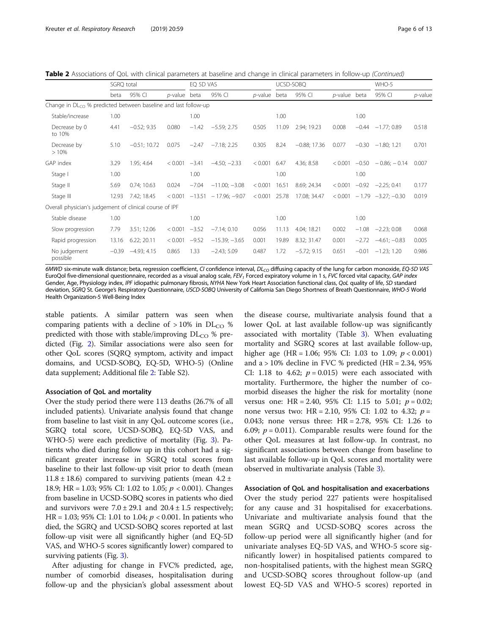Table 2 Associations of QoL with clinical parameters at baseline and change in clinical parameters in follow-up (Continued)

|                                                                  |         | SGRQ total    |                      |          | EQ 5D VAS       |                 |       | UCSD-SOBO      | WHO-5                |         |                           |            |
|------------------------------------------------------------------|---------|---------------|----------------------|----------|-----------------|-----------------|-------|----------------|----------------------|---------|---------------------------|------------|
|                                                                  | beta    | 95% CI        | <i>p</i> -value beta |          | 95% CI          | <i>p</i> -value | beta  | 95% CI         | <i>p</i> -value beta |         | 95% CI                    | $p$ -value |
| Change in $DLCO$ % predicted between baseline and last follow-up |         |               |                      |          |                 |                 |       |                |                      |         |                           |            |
| Stable/increase                                                  | 1.00    |               |                      | 1.00     |                 |                 | 1.00  |                |                      | 1.00    |                           |            |
| Decrease by 0<br>to 10%                                          | 4.41    | $-0.52; 9.35$ | 0.080                | $-1.42$  | $-5.59; 2.75$   | 0.505           | 11.09 | 2.94; 19.23    | 0.008                |         | $-0.44$ $-1.77$ ; 0.89    | 0.518      |
| Decrease by<br>$>10\%$                                           | 5.10    | $-0.51:10.72$ | 0.075                | $-2.47$  | $-7.18; 2.25$   | 0.305           | 8.24  | $-0.88; 17.36$ | 0.077                | $-0.30$ | $-1.80; 1.21$             | 0.701      |
| GAP index                                                        | 3.29    | 1.95; 4.64    | < 0.001              | $-3.41$  | $-4.50; -2.33$  | < 0.001         | 6.47  | 4.36; 8.58     | < 0.001              | $-0.50$ | $-0.86$ ; $-0.14$         | 0.007      |
| Stage I                                                          | 1.00    |               |                      | 1.00     |                 |                 | 1.00  |                |                      | 1.00    |                           |            |
| Stage II                                                         | 5.69    | 0.74; 10.63   | 0.024                | $-7.04$  | $-11.00; -3.08$ | < 0.001         | 16.51 | 8.69; 24.34    | < 0.001              |         | $-0.92$ $-2.25$ ; 0.41    | 0.177      |
| Stage III                                                        | 12.93   | 7.42; 18.45   | < 0.001              | $-13.51$ | $-17.96; -9.07$ | < 0.001         | 25.78 | 17.08; 34.47   | < 0.001              |         | $-1.79$ $-3.27$ ; $-0.30$ | 0.019      |
| Overall physician's judgement of clinical course of IPF          |         |               |                      |          |                 |                 |       |                |                      |         |                           |            |
| Stable disease                                                   | 1.00    |               |                      | 1.00     |                 |                 | 1.00  |                |                      | 1.00    |                           |            |
| Slow progression                                                 | 7.79    | 3.51; 12.06   | < 0.001              | $-3.52$  | $-7.14; 0.10$   | 0.056           | 11.13 | 4.04; 18.21    | 0.002                |         | $-1.08$ $-2.23$ ; 0.08    | 0.068      |
| Rapid progression                                                | 13.16   | 6.22; 20.11   | < 0.001              | $-9.52$  | $-15.39; -3.65$ | 0.001           | 19.89 | 8.32; 31.47    | 0.001                | $-2.72$ | $-4.61; -0.83$            | 0.005      |
| No judgement<br>possible                                         | $-0.39$ | $-4.93; 4.15$ | 0.865                | 1.33     | $-2.43; 5.09$   | 0.487           | 1.72  | $-5.72; 9.15$  | 0.651                | $-0.01$ | $-1.23; 1.20$             | 0.986      |

6MWD six-minute walk distance; beta, regression coefficient, CI confidence interval,  $DL_{CO}$  diffusing capacity of the lung for carbon monoxide, EQ-5D VAS EuroQol five-dimensional questionnaire, recorded as a visual analog scale, FEV<sub>1</sub> Forced expiratory volume in 1 s, FVC forced vital capacity, GAP index Gender, Age, Physiology index, IPF idiopathic pulmonary fibrosis, NYHA New York Heart Association functional class, QoL quality of life, SD standard deviation, SGRQ St. George's Respiratory Questionnaire, USCD-SOBQ University of California San Diego Shortness of Breath Questionnaire, WHO-5 World Health Organization-5 Well-Being Index

stable patients. A similar pattern was seen when comparing patients with a decline of  $>10\%$  in DL<sub>CO</sub> % predicted with those with stable/improving  $DL_{CO}$  % predicted (Fig. [2\)](#page-6-0). Similar associations were also seen for other QoL scores (SQRQ symptom, activity and impact domains, and UCSD-SOBQ, EQ-5D, WHO-5) (Online data supplement; Additional file [2](#page-11-0): Table S2).

## Association of QoL and mortality

Over the study period there were 113 deaths (26.7% of all included patients). Univariate analysis found that change from baseline to last visit in any QoL outcome scores (i.e., SGRQ total score, UCSD-SOBQ, EQ-5D VAS, and WHO-5) were each predictive of mortality (Fig. [3\)](#page-7-0). Patients who died during follow up in this cohort had a significant greater increase in SGRQ total scores from baseline to their last follow-up visit prior to death (mean 11.8  $\pm$  18.6) compared to surviving patients (mean 4.2  $\pm$ 18.9; HR = 1.03; 95% CI: 1.02 to 1.05;  $p < 0.001$ ). Changes from baseline in UCSD-SOBQ scores in patients who died and survivors were  $7.0 \pm 29.1$  and  $20.4 \pm 1.5$  respectively;  $HR = 1.03$ ; 95% CI: 1.01 to 1.04;  $p < 0.001$ . In patients who died, the SGRQ and UCSD-SOBQ scores reported at last follow-up visit were all significantly higher (and EQ-5D VAS, and WHO-5 scores significantly lower) compared to surviving patients (Fig. [3\)](#page-7-0).

After adjusting for change in FVC% predicted, age, number of comorbid diseases, hospitalisation during follow-up and the physician's global assessment about

the disease course, multivariate analysis found that a lower QoL at last available follow-up was significantly associated with mortality (Table [3\)](#page-8-0). When evaluating mortality and SGRQ scores at last available follow-up, higher age (HR = 1.06; 95% CI: 1.03 to 1.09;  $p < 0.001$ ) and  $a > 10\%$  decline in FVC % predicted (HR = 2.34, 95%) CI: 1.18 to 4.62;  $p = 0.015$ ) were each associated with mortality. Furthermore, the higher the number of comorbid diseases the higher the risk for mortality (none versus one: HR = 2.40, 95% CI: 1.15 to 5.01;  $p = 0.02$ ; none versus two: HR = 2.10, 95% CI: 1.02 to 4.32;  $p =$ 0.043; none versus three: HR = 2.78, 95% CI: 1.26 to 6.09;  $p = 0.011$ ). Comparable results were found for the other QoL measures at last follow-up. In contrast, no significant associations between change from baseline to last available follow-up in QoL scores and mortality were observed in multivariate analysis (Table [3](#page-8-0)).

#### Association of QoL and hospitalisation and exacerbations

Over the study period 227 patients were hospitalised for any cause and 31 hospitalised for exacerbations. Univariate and multivariate analysis found that the mean SGRQ and UCSD-SOBQ scores across the follow-up period were all significantly higher (and for univariate analyses EQ-5D VAS, and WHO-5 score significantly lower) in hospitalised patients compared to non-hospitalised patients, with the highest mean SGRQ and UCSD-SOBQ scores throughout follow-up (and lowest EQ-5D VAS and WHO-5 scores) reported in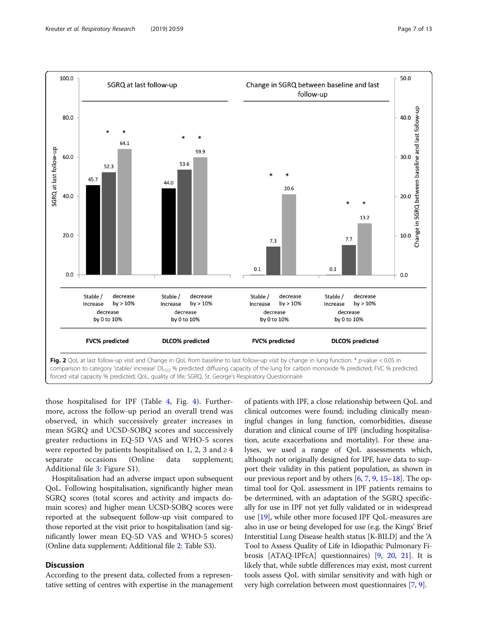<span id="page-6-0"></span>

those hospitalised for IPF (Table [4](#page-9-0), Fig. [4\)](#page-10-0). Furthermore, across the follow-up period an overall trend was observed, in which successively greater increases in mean SGRQ and UCSD-SOBQ scores and successively greater reductions in EQ-5D VAS and WHO-5 scores were reported by patients hospitalised on 1, 2, 3 and  $\geq 4$ separate occasions (Online data supplement; Additional file [3](#page-11-0): Figure S1).

Hospitalisation had an adverse impact upon subsequent QoL. Following hospitalisation, significantly higher mean SGRQ scores (total scores and activity and impacts domain scores) and higher mean UCSD-SOBQ scores were reported at the subsequent follow-up visit compared to those reported at the visit prior to hospitalisation (and significantly lower mean EQ-5D VAS and WHO-5 scores) (Online data supplement; Additional file [2](#page-11-0): Table S3).

# **Discussion**

According to the present data, collected from a representative setting of centres with expertise in the management

of patients with IPF, a close relationship between QoL and clinical outcomes were found; including clinically meaningful changes in lung function, comorbidities, disease duration and clinical course of IPF (including hospitalisation, acute exacerbations and mortality). For these analyses, we used a range of QoL assessments which, although not originally designed for IPF, have data to support their validity in this patient population, as shown in our previous report and by others  $[6, 7, 9, 15-18]$  $[6, 7, 9, 15-18]$  $[6, 7, 9, 15-18]$  $[6, 7, 9, 15-18]$  $[6, 7, 9, 15-18]$  $[6, 7, 9, 15-18]$  $[6, 7, 9, 15-18]$  $[6, 7, 9, 15-18]$  $[6, 7, 9, 15-18]$ . The optimal tool for QoL assessment in IPF patients remains to be determined, with an adaptation of the SGRQ specifically for use in IPF not yet fully validated or in widespread use [\[19\]](#page-12-0), while other more focused IPF QoL-measures are also in use or being developed for use (e.g. the Kings' Brief Interstitial Lung Disease health status [K-BILD] and the 'A Tool to Assess Quality of Life in Idiopathic Pulmonary Fibrosis [ATAQ-IPFcA] questionnaires) [\[9,](#page-12-0) [20](#page-12-0), [21\]](#page-12-0). It is likely that, while subtle differences may exist, most current tools assess QoL with similar sensitivity and with high or very high correlation between most questionnaires [\[7](#page-12-0), [9\]](#page-12-0).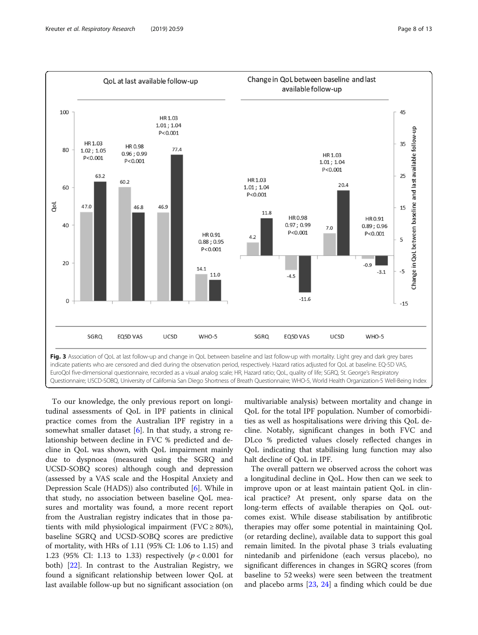

<span id="page-7-0"></span>

To our knowledge, the only previous report on longitudinal assessments of QoL in IPF patients in clinical practice comes from the Australian IPF registry in a somewhat smaller dataset  $[6]$  $[6]$ . In that study, a strong relationship between decline in FVC % predicted and decline in QoL was shown, with QoL impairment mainly due to dyspnoea (measured using the SGRQ and UCSD-SOBQ scores) although cough and depression (assessed by a VAS scale and the Hospital Anxiety and Depression Scale (HADS)) also contributed [\[6](#page-12-0)]. While in that study, no association between baseline QoL measures and mortality was found, a more recent report from the Australian registry indicates that in those patients with mild physiological impairment (FVC  $\geq 80\%$ ), baseline SGRQ and UCSD-SOBQ scores are predictive of mortality, with HRs of 1.11 (95% CI: 1.06 to 1.15) and 1.23 (95% CI: 1.13 to 1.33) respectively  $(p < 0.001$  for both) [\[22\]](#page-12-0). In contrast to the Australian Registry, we found a significant relationship between lower QoL at last available follow-up but no significant association (on

multivariable analysis) between mortality and change in QoL for the total IPF population. Number of comorbidities as well as hospitalisations were driving this QoL decline. Notably, significant changes in both FVC and DLco % predicted values closely reflected changes in QoL indicating that stabilising lung function may also halt decline of QoL in IPF.

The overall pattern we observed across the cohort was a longitudinal decline in QoL. How then can we seek to improve upon or at least maintain patient QoL in clinical practice? At present, only sparse data on the long-term effects of available therapies on QoL outcomes exist. While disease stabilisation by antifibrotic therapies may offer some potential in maintaining QoL (or retarding decline), available data to support this goal remain limited. In the pivotal phase 3 trials evaluating nintedanib and pirfenidone (each versus placebo), no significant differences in changes in SGRQ scores (from baseline to 52 weeks) were seen between the treatment and placebo arms [[23](#page-12-0), [24\]](#page-12-0) a finding which could be due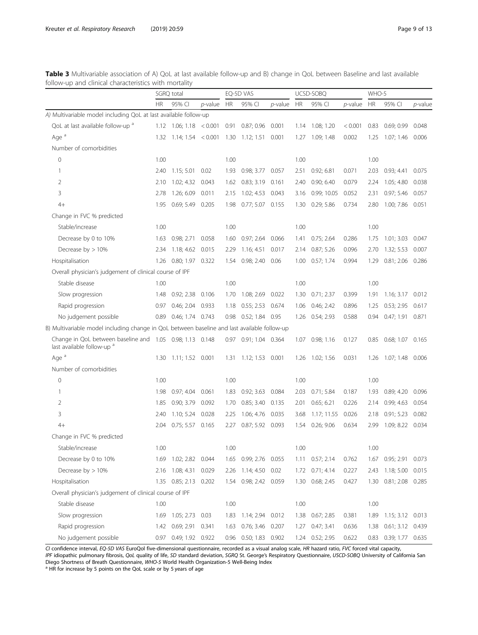<span id="page-8-0"></span>

| Table 3 Multivariable association of A) QoL at last available follow-up and B) change in QoL between Baseline and last available |  |  |  |  |
|----------------------------------------------------------------------------------------------------------------------------------|--|--|--|--|
| follow-up and clinical characteristics with mortality                                                                            |  |  |  |  |

|                                                                                                   | SGRQ total |                                |                 | EQ-5D VAS |                          |                 |      | UCSD-SOBQ       |            | WHO-5 |                       |         |
|---------------------------------------------------------------------------------------------------|------------|--------------------------------|-----------------|-----------|--------------------------|-----------------|------|-----------------|------------|-------|-----------------------|---------|
|                                                                                                   | HR         | 95% CI                         | <i>p</i> -value | HR        | 95% CI                   | <i>p</i> -value | ΗR   | 95% CI          | $p$ -value | HR    | 95% CI                | p-value |
| A) Multivariable model including QoL at last available follow-up                                  |            |                                |                 |           |                          |                 |      |                 |            |       |                       |         |
| QoL at last available follow-up <sup>a</sup>                                                      |            | $1.12$ 1.06; 1.18 < 0.001      |                 | 0.91      | 0.87;0.96                | 0.001           | 1.14 | 1.08; 1.20      | < 0.001    | 0.83  | 0.69; 0.99            | 0.048   |
| Age <sup>a</sup>                                                                                  |            | $1.32$ 1.14; 1.54 < 0.001 1.30 |                 |           | 1.12; 1.51               | 0.001           | 1.27 | 1.09; 1.48      | 0.002      | 1.25  | 1.07; 1.46            | 0.006   |
| Number of comorbidities                                                                           |            |                                |                 |           |                          |                 |      |                 |            |       |                       |         |
| $\mathbf 0$                                                                                       | 1.00       |                                |                 | 1.00      |                          |                 | 1.00 |                 |            | 1.00  |                       |         |
| $\mathbf{1}$                                                                                      | 2.40       | 1.15; 5.01                     | 0.02            | 1.93      | 0.98; 3.77               | 0.057           | 2.51 | 0.92; 6.81      | 0.071      | 2.03  | 0.93; 4.41            | 0.075   |
| 2                                                                                                 | 2.10       | 1.02; 4.32                     | 0.043           | 1.62      | 0.83; 3.19               | 0.161           | 2.40 | 0.90; 6.40      | 0.079      | 2.24  | 1.05; 4.80            | 0.038   |
| 3                                                                                                 | 2.78       | 1.26; 6.09                     | 0.011           | 2.15      | 1.02; 4.53               | 0.043           | 3.16 | 0.99; 10.05     | 0.052      | 2.31  | 0.97; 5.46            | 0.057   |
| $4+$                                                                                              | 1.95       | 0.69; 5.49 0.205               |                 | 1.98      | 0.77; 5.07 0.155         |                 | 1.30 | 0.29; 5.86      | 0.734      | 2.80  | 1.00; 7.86            | 0.051   |
| Change in FVC % predicted                                                                         |            |                                |                 |           |                          |                 |      |                 |            |       |                       |         |
| Stable/increase                                                                                   | 1.00       |                                |                 | 1.00      |                          |                 | 1.00 |                 |            | 1.00  |                       |         |
| Decrease by 0 to 10%                                                                              | 1.63       | 0.98; 2.71                     | 0.058           | 1.60      | 0.97; 2.64               | 0.066           | 1.41 | 0.75; 2.64      | 0.286      | 1.75  | 1.01; 3.03 0.047      |         |
| Decrease by $> 10\%$                                                                              | 2.34       | 1.18; 4.62                     | 0.015           | 2.29      | 1.16; 4.51               | 0.017           | 2.14 | 0.87; 5.26      | 0.096      | 2.70  | 1.32; 5.53            | 0.007   |
| Hospitalisation                                                                                   | 1.26       | 0.80; 1.97 0.322               |                 | 1.54      | 0.98; 2.40               | 0.06            | 1.00 | 0.57; 1.74      | 0.994      | 1.29  | 0.81; 2.06            | 0.286   |
| Overall physician's judgement of clinical course of IPF                                           |            |                                |                 |           |                          |                 |      |                 |            |       |                       |         |
| Stable disease                                                                                    | 1.00       |                                |                 | 1.00      |                          |                 | 1.00 |                 |            | 1.00  |                       |         |
| Slow progression                                                                                  | 1.48       | 0.92; 2.38                     | 0.106           | 1.70      | 1.08; 2.69               | 0.022           | 1.30 | 0.71; 2.37      | 0.399      | 1.91  | 1.16; 3.17            | 0.012   |
| Rapid progression                                                                                 | 0.97       | 0.46; 2.04 0.933               |                 | 1.18      | $0.55; 2.53 \quad 0.674$ |                 | 1.06 | 0.46; 2.42      | 0.896      | 1.25  | 0.53; 2.95            | 0.617   |
| No judgement possible                                                                             | 0.89       | 0.46; 1.74 0.743               |                 | 0.98      | 0.52; 1.84               | 0.95            | 1.26 | 0.54; 2.93      | 0.588      | 0.94  | 0.47; 1.91            | 0.871   |
| B) Multivariable model including change in QoL between baseline and last available follow-up      |            |                                |                 |           |                          |                 |      |                 |            |       |                       |         |
| Change in QoL between baseline and 1.05 0.98; 1.13 0.148<br>last available follow-up <sup>a</sup> |            |                                |                 |           | 0.97 0.91; 1.04 0.364    |                 |      | 1.07 0.98; 1.16 | 0.127      | 0.85  | 0.68; 1.07 0.165      |         |
| Age <sup>a</sup>                                                                                  | 1.30       | 1.11; 1.52 0.001               |                 | 1.31      | 1.12; 1.53 0.001         |                 | 1.26 | 1.02; 1.56      | 0.031      | 1.26  | 1.07; 1.48 0.006      |         |
| Number of comorbidities                                                                           |            |                                |                 |           |                          |                 |      |                 |            |       |                       |         |
| 0                                                                                                 | 1.00       |                                |                 | 1.00      |                          |                 | 1.00 |                 |            | 1.00  |                       |         |
| 1                                                                                                 | 1.98       | 0.97; 4.04                     | 0.061           | 1.83      | 0.92; 3.63 0.084         |                 | 2.03 | 0.71; 5.84      | 0.187      | 1.93  | 0.89; 4.20            | 0.096   |
| 2                                                                                                 | 1.85       | 0.90; 3.79 0.092               |                 | 1.70      | 0.85; 3.40 0.135         |                 | 2.01 | 0.65; 6.21      | 0.226      | 2.14  | 0.99; 4.63            | 0.054   |
| 3                                                                                                 | 2.40       | 1.10; 5.24 0.028               |                 | 2.25      | 1.06; 4.76               | 0.035           | 3.68 | 1.17; 11.55     | 0.026      | 2.18  | 0.91; 5.23            | 0.082   |
| $4+$                                                                                              | 2.04       | 0.75; 5.57 0.165               |                 | 2.27      | 0.87; 5.92 0.093         |                 | 1.54 | 0.26; 9.06      | 0.634      | 2.99  | 1.09; 8.22 0.034      |         |
| Change in FVC % predicted                                                                         |            |                                |                 |           |                          |                 |      |                 |            |       |                       |         |
| Stable/increase                                                                                   | 1.00       |                                |                 | 1.00      |                          |                 | 1.00 |                 |            | 1.00  |                       |         |
| Decrease by 0 to 10%                                                                              | 1.69       | 1.02; 2.82 0.044               |                 | 1.65      | 0.99; 2.76 0.055         |                 |      | 1.11 0.57; 2.14 | 0.762      | 1.67  | 0.95; 2.91 0.073      |         |
| Decrease by $> 10\%$                                                                              | 2.16       | 1.08; 4.31                     | 0.029           | 2.26      | $1.14; 4.50$ 0.02        |                 |      | 1.72 0.71; 4.14 | 0.227      | 2.43  | 1.18; 5.00 0.015      |         |
| Hospitalisation                                                                                   | 1.35       | 0.85; 2.13 0.202               |                 |           | 1.54 0.98; 2.42 0.059    |                 |      | 1.30 0.68; 2.45 | 0.427      | 1.30  | $0.81; 2.08$ 0.285    |         |
| Overall physician's judgement of clinical course of IPF                                           |            |                                |                 |           |                          |                 |      |                 |            |       |                       |         |
| Stable disease                                                                                    | 1.00       |                                |                 | 1.00      |                          |                 | 1.00 |                 |            | 1.00  |                       |         |
| Slow progression                                                                                  | 1.69       | 1.05; 2.73                     | 0.03            | 1.83      | 1.14; 2.94               | 0.012           | 1.38 | 0.67; 2.85      | 0.381      | 1.89  | 1.15; 3.12 0.013      |         |
| Rapid progression                                                                                 | 1.42       | 0.69; 2.91 0.341               |                 | 1.63      | 0.76; 3.46 0.207         |                 | 1.27 | 0.47; 3.41      | 0.636      | 1.38  | 0.61; 3.12 0.439      |         |
| No judgement possible                                                                             | 0.97       | 0.49; 1.92 0.922               |                 |           | 0.96 0.50; 1.83 0.902    |                 |      | 1.24 0.52; 2.95 | 0.622      |       | 0.83 0.39; 1.77 0.635 |         |

CI confidence interval, EQ-5D VAS EuroQol five-dimensional questionnaire, recorded as a visual analog scale, HR hazard ratio, FVC forced vital capacity,

IPF idiopathic pulmonary fibrosis, QoL quality of life, SD standard deviation, SGRQ St. George's Respiratory Questionnaire, USCD-SOBQ University of California San Diego Shortness of Breath Questionnaire, *WHO-5 World Health Organization-5 Well-Being Index*<br><sup>a</sup> HR for increase by 5 points on the QoL scale or by 5 years of age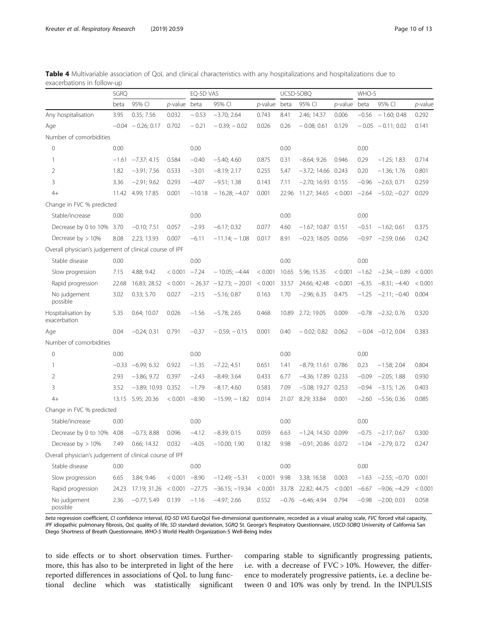|                                                         | SGRQ    |                      |                  | EQ-5D VAS |                            |            |       | UCSD-SOBQ            |                 | WHO-5   |                        |            |  |
|---------------------------------------------------------|---------|----------------------|------------------|-----------|----------------------------|------------|-------|----------------------|-----------------|---------|------------------------|------------|--|
|                                                         | beta    | 95% CI               | $p$ -value       | beta      | 95% CI                     | $p$ -value | beta  | 95% CI               | $p$ -value      | beta    | 95% CI                 | $p$ -value |  |
| Any hospitalisation                                     | 3.95    | 0.35; 7.56           | 0.032            | $-0.53$   | $-3.70; 2.64$              | 0.743      | 8.41  | 2.46; 14.37          | 0.006           | $-0.56$ | $-1.60; 0.48$          | 0.292      |  |
| Age                                                     | $-0.04$ | $-0.26; 0.17$        | 0.702            | $-0.21$   | $-0.39; -0.02$             | 0.026      | 0.26  | $-0.08; 0.61$        | 0.129           |         | $-0.05 -0.11; 0.02$    | 0.141      |  |
| Number of comorbidities                                 |         |                      |                  |           |                            |            |       |                      |                 |         |                        |            |  |
| $\mathbf 0$                                             | 0.00    |                      |                  | 0.00      |                            |            | 0.00  |                      |                 | 0.00    |                        |            |  |
| 1                                                       | $-1.61$ | $-7.37; 4.15$        | 0.584            | $-0.40$   | $-5.40; 4.60$              | 0.875      | 0.31  | $-8.64; 9.26$        | 0.946           | 0.29    | $-1.25; 1.83$          | 0.714      |  |
| 2                                                       | 1.82    | $-3.91; 7.56$        | 0.533            | $-3.01$   | $-8.19; 2.17$              | 0.255      | 5.47  | $-3.72; 14.66$ 0.243 |                 | 0.20    | $-1.36; 1.76$          | 0.801      |  |
| 3                                                       | 3.36    | $-2.91; 9.62$        | 0.293            | $-4.07$   | $-9.51; 1.38$              | 0.143      | 7.11  | $-2.70; 16.93$ 0.155 |                 | $-0.96$ | $-2.63; 0.71$          | 0.259      |  |
| $4+$                                                    |         | 11.42 4.99; 17.85    | 0.001            | $-10.18$  | $-16.28; -4.07$            | 0.001      | 22.96 | 11.27; 34.65 < 0.001 |                 | $-2.64$ | $-5.02: -0.27$         | 0.029      |  |
| Change in FVC % predicted                               |         |                      |                  |           |                            |            |       |                      |                 |         |                        |            |  |
| Stable/increase                                         | 0.00    |                      |                  | 0.00      |                            |            | 0.00  |                      |                 | 0.00    |                        |            |  |
| Decrease by 0 to 10% 3.70                               |         | $-0.10; 7.51$        | 0.057            | $-2.93$   | $-6.17; 0.32$              | 0.077      | 4.60  | $-1.67; 10.87$ 0.151 |                 | $-0.51$ | $-1.62; 0.61$          | 0.375      |  |
| Decrease by $> 10\%$                                    | 8.08    | 2.23; 13.93          | 0.007            | $-6.11$   | $-11.14; -1.08$            | 0.017      | 8.91  | $-0.23; 18.05 0.056$ |                 |         | $-0.97 -2.59; 0.66$    | 0.242      |  |
| Overall physician's judgement of clinical course of IPF |         |                      |                  |           |                            |            |       |                      |                 |         |                        |            |  |
| Stable disease                                          | 0.00    |                      |                  | 0.00      |                            |            | 0.00  |                      |                 | 0.00    |                        |            |  |
| Slow progression                                        | 7.15    | 4.88; 9.42           | $< 0.001 -7.24$  |           | $-10.05; -4.44$            | < 0.001    | 10.65 | 5.96; 15.35          | $< 0.001 -1.62$ |         | $-2.34; -0.89 < 0.001$ |            |  |
| Rapid progression                                       | 22.68   | 16.83; 28.52         | < 0.001          |           | $-26.37 -32.73$ ; $-20.01$ | < 0.001    | 33.57 | 24.66; 42.48         | $< 0.001 -6.35$ |         | $-8.31; -4.40$         | < 0.001    |  |
| No judgement<br>possible                                | 3.02    | 0.33; 5.70           | 0.027            | $-2.15$   | $-5.16; 0.87$              | 0.163      | 1.70  | $-2.96; 6.35$        | 0.475           | $-1.25$ | $-2.11; -0.40$         | 0.004      |  |
| Hospitalisation by<br>exacerbation                      | 5.35    | 0.64; 10.07          | 0.026            | $-1.56$   | $-5.78; 2.65$              | 0.468      | 10.89 | 2.72; 19.05          | 0.009           |         | $-0.78$ $-2.32; 0.76$  | 0.320      |  |
| Age                                                     | 0.04    | $-0.24; 0.31$        | 0.791            | $-0.37$   | $-0.59; -0.15$             | 0.001      | 0.40  | $-0.02; 0.82$        | 0.062           |         | $-0.04 -0.12; 0.04$    | 0.383      |  |
| Number of comorbidities                                 |         |                      |                  |           |                            |            |       |                      |                 |         |                        |            |  |
| $\mathbf{0}$                                            | 0.00    |                      |                  | 0.00      |                            |            | 0.00  |                      |                 | 0.00    |                        |            |  |
| 1                                                       | $-0.33$ | $-6.99; 6.32$        | 0.922            | $-1.35$   | $-7.22; 4.51$              | 0.651      | 1.41  | $-8.79; 11.61$ 0.786 |                 | 0.23    | $-1.58; 2.04$          | 0.804      |  |
| 2                                                       | 2.93    | $-3.86; 9.72$        | 0.397            | $-2.43$   | $-8.49; 3.64$              | 0.433      | 6.77  | $-4.36; 17.89$ 0.233 |                 | $-0.09$ | $-2.05; 1.88$          | 0.930      |  |
| 3                                                       | 3.52    | $-3.89; 10.93$ 0.352 |                  | $-1.79$   | $-8.17; 4.60$              | 0.583      | 7.09  | $-5.08; 19.27$ 0.253 |                 | $-0.94$ | $-3.15; 1.26$          | 0.403      |  |
| $4+$                                                    | 13.15   | 5.95; 20.36          | $< 0.001 - 8.90$ |           | $-15.99; -1.82$            | 0.014      | 21.07 | 8.29; 33.84          | 0.001           | $-2.60$ | $-5.56; 0.36$          | 0.085      |  |
| Change in FVC % predicted                               |         |                      |                  |           |                            |            |       |                      |                 |         |                        |            |  |
| Stable/increase                                         | 0.00    |                      |                  | 0.00      |                            |            | 0.00  |                      |                 | 0.00    |                        |            |  |
| Decrease by 0 to 10% 4.08                               |         | $-0.73; 8.88$        | 0.096            | $-4.12$   | $-8.39; 0.15$              | 0.059      | 6.63  | $-1.24; 14.50$ 0.099 |                 | $-0.75$ | $-2.17; 0.67$          | 0.300      |  |
| Decrease by $>10\%$                                     | 7.49    | 0.66; 14.32          | 0.032            | $-4.05$   | $-10.00; 1.90$             | 0.182      | 9.98  | $-0.91; 20.86 0.072$ |                 | $-1.04$ | $-2.79; 0.72$          | 0.247      |  |
| Overall physician's judgement of clinical course of IPF |         |                      |                  |           |                            |            |       |                      |                 |         |                        |            |  |
| Stable disease                                          | 0.00    |                      |                  | 0.00      |                            |            | 0.00  |                      |                 | 0.00    |                        |            |  |
| Slow progression                                        | 6.65    | 3.84; 9.46           | $< 0.001 - 8.90$ |           | $-12.49; -5.31$            | < 0.001    | 9.98  | 3.38; 16.58          | 0.003           | $-1.63$ | $-2.55; -0.70$         | 0.001      |  |
| Rapid progression                                       | 24.23   | 17.19; 31.26         | $< 0.001 -27.75$ |           | $-36.15; -19.34$           | < 0.001    | 33.78 | 22.82; 44.75         | < 0.001         | $-6.67$ | $-9.06; -4.29$         | < 0.001    |  |
| No judgement<br>possible                                | 2.36    | $-0.77; 5.49$        | 0.139            | $-1.16$   | $-4.97; 2.66$              | 0.552      |       | $-0.76 -6.46; 4.94$  | 0.794           | $-0.98$ | $-2.00; 0.03$          | 0.058      |  |

<span id="page-9-0"></span>Table 4 Multivariable association of QoL and clinical characteristics with any hospitalizations and hospitalizations due to exacerbations in follow-up

beta regression coefficient, CI confidence interval, EQ-5D VAS EuroQol five-dimensional questionnaire, recorded as a visual analog scale, FVC forced vital capacity, IPF idiopathic pulmonary fibrosis, QoL quality of life, SD standard deviation, SGRQ St. George's Respiratory Questionnaire, USCD-SOBQ University of California San Diego Shortness of Breath Questionnaire, WHO-5 World Health Organization-5 Well-Being Index

to side effects or to short observation times. Furthermore, this has also to be interpreted in light of the here reported differences in associations of QoL to lung functional decline which was statistically significant comparing stable to significantly progressing patients, i.e. with a decrease of FVC > 10%. However, the difference to moderately progressive patients, i.e. a decline between 0 and 10% was only by trend. In the INPULSIS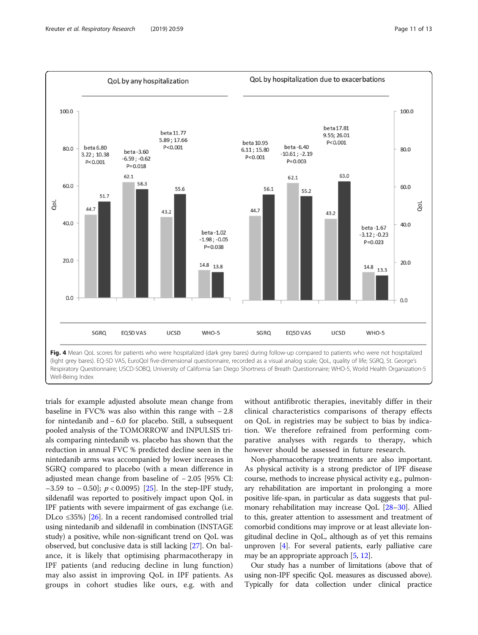<span id="page-10-0"></span>

trials for example adjusted absolute mean change from baseline in FVC% was also within this range with − 2.8 for nintedanib and − 6.0 for placebo. Still, a subsequent pooled analysis of the TOMORROW and INPULSIS trials comparing nintedanib vs. placebo has shown that the reduction in annual FVC % predicted decline seen in the nintedanib arms was accompanied by lower increases in SGRQ compared to placebo (with a mean difference in adjusted mean change from baseline of − 2.05 [95% CI: –3.59 to –0.50];  $p < 0.0095$  [[25\]](#page-12-0). In the step-IPF study, sildenafil was reported to positively impact upon QoL in IPF patients with severe impairment of gas exchange (i.e. DLco  $\leq$ 35%) [\[26\]](#page-12-0). In a recent randomised controlled trial using nintedanib and sildenafil in combination (INSTAGE study) a positive, while non-significant trend on QoL was observed, but conclusive data is still lacking [\[27\]](#page-12-0). On balance, it is likely that optimising pharmacotherapy in IPF patients (and reducing decline in lung function) may also assist in improving QoL in IPF patients. As groups in cohort studies like ours, e.g. with and without antifibrotic therapies, inevitably differ in their clinical characteristics comparisons of therapy effects on QoL in registries may be subject to bias by indication. We therefore refrained from performing comparative analyses with regards to therapy, which however should be assessed in future research.

Non-pharmacotherapy treatments are also important. As physical activity is a strong predictor of IPF disease course, methods to increase physical activity e.g., pulmonary rehabilitation are important in prolonging a more positive life-span, in particular as data suggests that pulmonary rehabilitation may increase QoL [\[28](#page-12-0)–[30](#page-12-0)]. Allied to this, greater attention to assessment and treatment of comorbid conditions may improve or at least alleviate longitudinal decline in QoL, although as of yet this remains unproven [\[4](#page-12-0)]. For several patients, early palliative care may be an appropriate approach [[5,](#page-12-0) [12\]](#page-12-0).

Our study has a number of limitations (above that of using non-IPF specific QoL measures as discussed above). Typically for data collection under clinical practice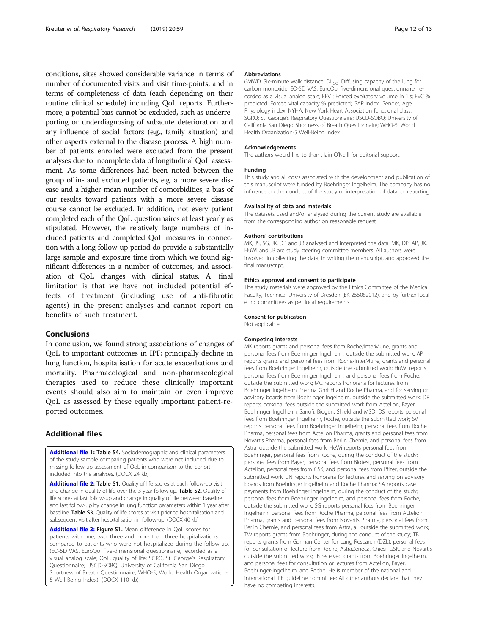<span id="page-11-0"></span>conditions, sites showed considerable variance in terms of number of documented visits and visit time-points, and in terms of completeness of data (each depending on their routine clinical schedule) including QoL reports. Furthermore, a potential bias cannot be excluded, such as underreporting or underdiagnosing of subacute deterioration and any influence of social factors (e.g., family situation) and other aspects external to the disease process. A high number of patients enrolled were excluded from the present analyses due to incomplete data of longitudinal QoL assessment. As some differences had been noted between the group of in- and excluded patients, e.g. a more severe disease and a higher mean number of comorbidities, a bias of our results toward patients with a more severe disease course cannot be excluded. In addition, not every patient completed each of the QoL questionnaires at least yearly as stipulated. However, the relatively large numbers of included patients and completed QoL measures in connection with a long follow-up period do provide a substantially large sample and exposure time from which we found significant differences in a number of outcomes, and association of QoL changes with clinical status. A final limitation is that we have not included potential effects of treatment (including use of anti-fibrotic agents) in the present analyses and cannot report on benefits of such treatment.

# Conclusions

In conclusion, we found strong associations of changes of QoL to important outcomes in IPF; principally decline in lung function, hospitalisation for acute exacerbations and mortality. Pharmacological and non-pharmacological therapies used to reduce these clinically important events should also aim to maintain or even improve QoL as assessed by these equally important patient-reported outcomes.

# Additional files

[Additional file 1:](https://doi.org/10.1186/s12931-019-1020-3) Table S4. Sociodemographic and clinical parameters of the study sample comparing patients who were not included due to missing follow-up assessment of QoL in comparison to the cohort included into the analyses. (DOCX 24 kb)

[Additional file 2:](https://doi.org/10.1186/s12931-019-1020-3) Table S1. Quality of life scores at each follow-up visit and change in quality of life over the 3-year follow-up. Table S2. Quality of life scores at last follow-up and change in quality of life between baseline and last follow-up by change in lung function parameters within 1 year after baseline. Table S3. Quality of life scores at visit prior to hospitalisation and subsequent visit after hospitalisation in follow-up. (DOCX 40 kb)

[Additional file 3:](https://doi.org/10.1186/s12931-019-1020-3) Figure S1. Mean difference in QoL scores for patients with one, two, three and more than three hospitalizations compared to patients who were not hospitalized during the follow-up. (EQ-5D VAS, EuroQol five-dimensional questionnaire, recorded as a visual analog scale; QoL, quality of life; SGRQ, St. George's Respiratory Questionnaire; USCD-SOBQ, University of California San Diego Shortness of Breath Questionnaire; WHO-5, World Health Organization-5 Well-Being Index). (DOCX 110 kb)

# Abbreviations

6MWD: Six-minute walk distance; DL<sub>CO</sub>: Diffusing capacity of the lung for carbon monoxide; EQ-5D VAS: EuroQol five-dimensional questionnaire, recorded as a visual analog scale; FEV<sub>1</sub>: Forced expiratory volume in 1 s; FVC % predicted: Forced vital capacity % predicted; GAP index: Gender, Age, Physiology index; NYHA: New York Heart Association functional class; SGRQ: St. George's Respiratory Questionnaire; USCD-SOBQ: University of California San Diego Shortness of Breath Questionnaire; WHO-5: World Health Organization-5 Well-Being Index

#### Acknowledgements

The authors would like to thank Iain O'Neill for editorial support.

#### Funding

This study and all costs associated with the development and publication of this manuscript were funded by Boehringer Ingelheim. The company has no influence on the conduct of the study or interpretation of data, or reporting.

#### Availability of data and materials

The datasets used and/or analysed during the current study are available from the corresponding author on reasonable request.

#### Authors' contributions

MK, JS, SG, JK, DP and JB analysed and interpreted the data. MK, DP, AP, JK, HuWi and JB are study steering committee members. All authors were involved in collecting the data, in writing the manuscript, and approved the final manuscript.

#### Ethics approval and consent to participate

The study materials were approved by the Ethics Committee of the Medical Faculty, Technical University of Dresden (EK 255082012), and by further local ethic committees as per local requirements.

#### Consent for publication

Not applicable.

#### Competing interests

MK reports grants and personal fees from Roche/InterMune, grants and personal fees from Boehringer Ingelheim, outside the submitted work; AP reports grants and personal fees from Roche/InterMune, grants and personal fees from Boehringer Ingelheim, outside the submitted work; HuWi reports personal fees from Boehringer Ingelheim, and personal fees from Roche, outside the submitted work; MC reports honoraria for lectures from Boehringer Ingelheim Pharma GmbH and Roche Pharma, and for serving on advisory boards from Boehringer Ingelheim, outside the submitted work; DP reports personal fees outside the submitted work from Actelion, Bayer, Boehringer Ingelheim, Sanofi, Biogen, Shield and MSD; DS reports personal fees from Boehringer Ingelheim, Roche, outside the submitted work; SV reports personal fees from Boehringer Ingelheim, personal fees from Roche Pharma, personal fees from Actelion Pharma, grants and personal fees from Novartis Pharma, personal fees from Berlin Chemie, and personal fees from Astra, outside the submitted work; HeWi reports personal fees from Boehringer, personal fees from Roche, during the conduct of the study; personal fees from Bayer, personal fees from Biotest, personal fees from Actelion, personal fees from GSK, and personal fees from Pfizer, outside the submitted work; CN reports honoraria for lectures and serving on advisory boards from Boehringer Ingelheim and Roche Pharma; SA reports case payments from Boehringer Ingelheim, during the conduct of the study; personal fees from Boehringer Ingelheim, and personal fees from Roche, outside the submitted work; SG reports personal fees from Boehringer Ingelheim, personal fees from Roche Pharma, personal fees from Actelion Pharma, grants and personal fees from Novartis Pharma, personal fees from Berlin Chemie, and personal fees from Astra, all outside the submitted work; TW reports grants from Boehringer, during the conduct of the study; TB reports grants from German Center for Lung Research (DZL), personal fees for consultation or lecture from Roche, AstraZeneca, Chiesi, GSK, and Novartis outside the submitted work; JB received grants from Boehringer Ingelheim, and personal fees for consultation or lectures from Actelion, Bayer, Boehringer-Ingelheim, and Roche. He is member of the national and international IPF guideline committee; All other authors declare that they have no competing interests.